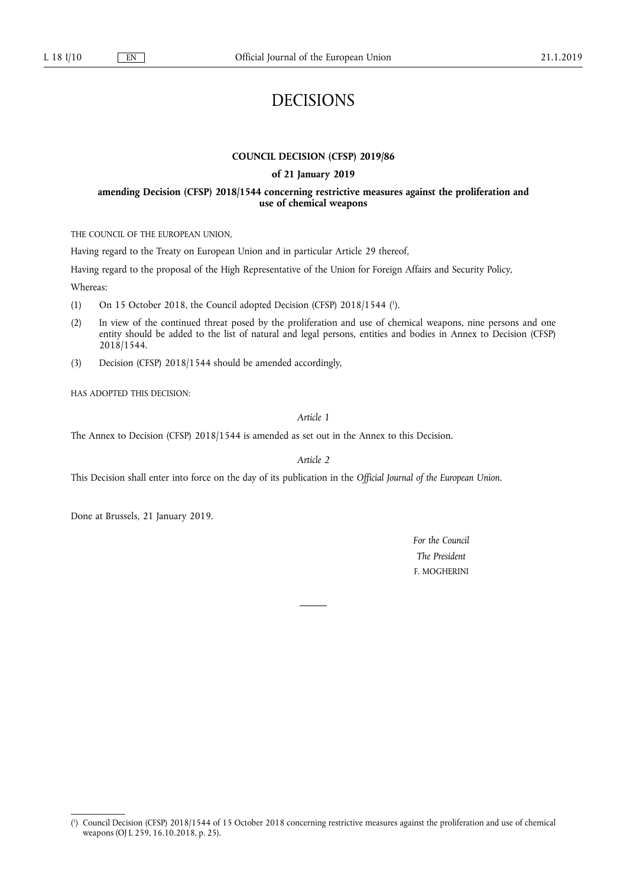# DECISIONS

### **COUNCIL DECISION (CFSP) 2019/86**

#### **of 21 January 2019**

### **amending Decision (CFSP) 2018/1544 concerning restrictive measures against the proliferation and use of chemical weapons**

THE COUNCIL OF THE EUROPEAN UNION,

Having regard to the Treaty on European Union and in particular Article 29 thereof,

Having regard to the proposal of the High Representative of the Union for Foreign Affairs and Security Policy,

Whereas:

- (1) On 15 October 2018, the Council adopted Decision (CFSP) 2018/1544 (<sup>1</sup>).
- (2) In view of the continued threat posed by the proliferation and use of chemical weapons, nine persons and one entity should be added to the list of natural and legal persons, entities and bodies in Annex to Decision (CFSP) 2018/1544.
- (3) Decision (CFSP) 2018/1544 should be amended accordingly,

HAS ADOPTED THIS DECISION:

*Article 1* 

The Annex to Decision (CFSP) 2018/1544 is amended as set out in the Annex to this Decision.

*Article 2* 

This Decision shall enter into force on the day of its publication in the *Official Journal of the European Union*.

Done at Brussels, 21 January 2019.

*For the Council The President*  F. MOGHERINI

<sup>(</sup> 1 ) Council Decision (CFSP) 2018/1544 of 15 October 2018 concerning restrictive measures against the proliferation and use of chemical weapons (OJ L 259, 16.10.2018, p. 25).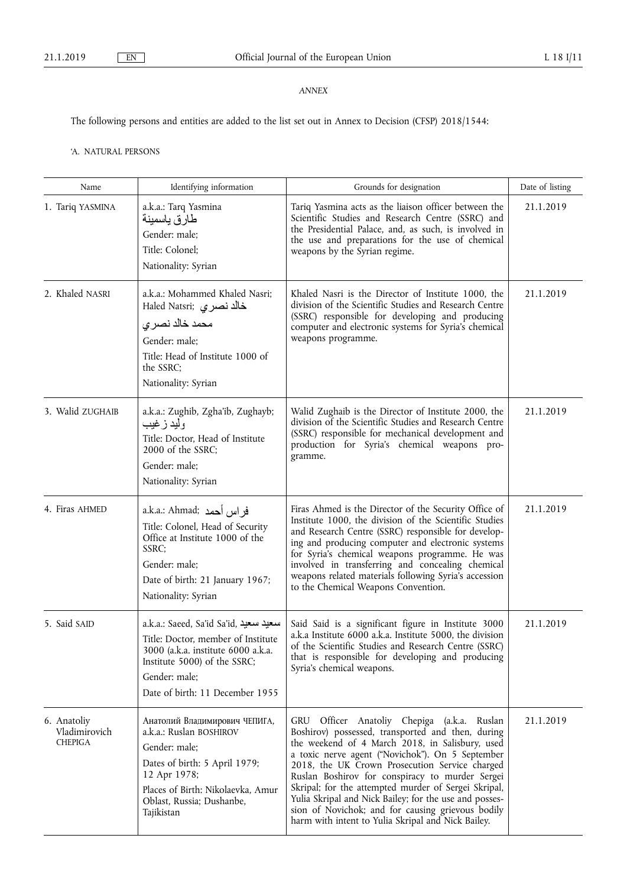## *ANNEX*

The following persons and entities are added to the list set out in Annex to Decision (CFSP) 2018/1544:

'A. NATURAL PERSONS

| Name                                           | Identifying information                                                                                                                                                                                    | Grounds for designation                                                                                                                                                                                                                                                                                                                                                                                                                                                                                                                      | Date of listing |
|------------------------------------------------|------------------------------------------------------------------------------------------------------------------------------------------------------------------------------------------------------------|----------------------------------------------------------------------------------------------------------------------------------------------------------------------------------------------------------------------------------------------------------------------------------------------------------------------------------------------------------------------------------------------------------------------------------------------------------------------------------------------------------------------------------------------|-----------------|
| 1. Tariq YASMINA                               | a.k.a.: Tarq Yasmina<br>طارق ياسمينة<br>Gender: male;<br>Title: Colonel;<br>Nationality: Syrian                                                                                                            | Tariq Yasmina acts as the liaison officer between the<br>Scientific Studies and Research Centre (SSRC) and<br>the Presidential Palace, and, as such, is involved in<br>the use and preparations for the use of chemical<br>weapons by the Syrian regime.                                                                                                                                                                                                                                                                                     | 21.1.2019       |
| 2. Khaled NASRI                                | a.k.a.: Mohammed Khaled Nasri;<br>Haled Natsri; خالد نصري<br>محمد خالد نصري<br>Gender: male;<br>Title: Head of Institute 1000 of<br>the SSRC;<br>Nationality: Syrian                                       | Khaled Nasri is the Director of Institute 1000, the<br>division of the Scientific Studies and Research Centre<br>(SSRC) responsible for developing and producing<br>computer and electronic systems for Syria's chemical<br>weapons programme.                                                                                                                                                                                                                                                                                               | 21.1.2019       |
| 3. Walid ZUGHAIB                               | a.k.a.: Zughib, Zgha'ib, Zughayb;<br>وليد زغيب<br>Title: Doctor, Head of Institute<br>2000 of the SSRC;<br>Gender: male;<br>Nationality: Syrian                                                            | Walid Zughaib is the Director of Institute 2000, the<br>division of the Scientific Studies and Research Centre<br>(SSRC) responsible for mechanical development and<br>production for Syria's chemical weapons pro-<br>gramme.                                                                                                                                                                                                                                                                                                               | 21.1.2019       |
| 4. Firas AHMED                                 | a.k.a.: Ahmad; فراس أحمد<br>Title: Colonel, Head of Security<br>Office at Institute 1000 of the<br>SSRC;<br>Gender: male;<br>Date of birth: 21 January 1967;<br>Nationality: Syrian                        | Firas Ahmed is the Director of the Security Office of<br>Institute 1000, the division of the Scientific Studies<br>and Research Centre (SSRC) responsible for develop-<br>ing and producing computer and electronic systems<br>for Syria's chemical weapons programme. He was<br>involved in transferring and concealing chemical<br>weapons related materials following Syria's accession<br>to the Chemical Weapons Convention.                                                                                                            | 21.1.2019       |
| 5. Said SAID                                   | a.k.a.: Saeed, Sa'id Sa'id, سعيد سعيد<br>Title: Doctor, member of Institute<br>3000 (a.k.a. institute 6000 a.k.a.<br>Institute 5000) of the SSRC;<br>Gender: male;<br>Date of birth: 11 December 1955      | Said Said is a significant figure in Institute 3000<br>a.k.a Institute 6000 a.k.a. Institute 5000, the division<br>of the Scientific Studies and Research Centre (SSRC)<br>that is responsible for developing and producing<br>Syria's chemical weapons.                                                                                                                                                                                                                                                                                     | 21.1.2019       |
| 6. Anatoliy<br>Vladimirovich<br><b>CHEPIGA</b> | Анатолий Владимирович ЧЕПИГА,<br>a.k.a.: Ruslan BOSHIROV<br>Gender: male;<br>Dates of birth: 5 April 1979;<br>12 Apr 1978;<br>Places of Birth: Nikolaevka, Amur<br>Oblast, Russia; Dushanbe,<br>Tajikistan | Officer Anatoliy Chepiga (a.k.a. Ruslan<br>GRU<br>Boshirov) possessed, transported and then, during<br>the weekend of 4 March 2018, in Salisbury, used<br>a toxic nerve agent ("Novichok"). On 5 September<br>2018, the UK Crown Prosecution Service charged<br>Ruslan Boshirov for conspiracy to murder Sergei<br>Skripal; for the attempted murder of Sergei Skripal,<br>Yulia Skripal and Nick Bailey; for the use and posses-<br>sion of Novichok; and for causing grievous bodily<br>harm with intent to Yulia Skripal and Nick Bailey. | 21.1.2019       |